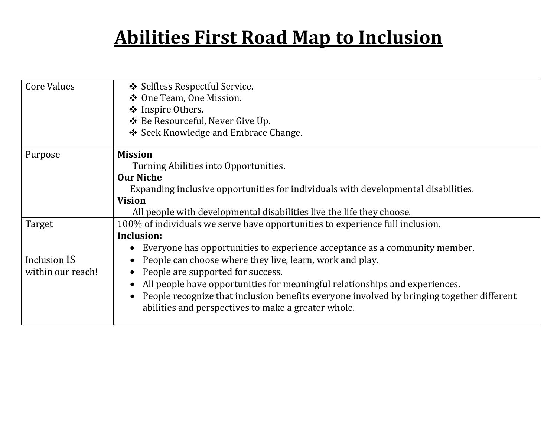## **Abilities First Road Map to Inclusion**

| <b>Core Values</b> | ❖ Selfless Respectful Service.                                                            |
|--------------------|-------------------------------------------------------------------------------------------|
|                    | ❖ One Team, One Mission.                                                                  |
|                    | ❖ Inspire Others.                                                                         |
|                    | ❖ Be Resourceful, Never Give Up.                                                          |
|                    | ❖ Seek Knowledge and Embrace Change.                                                      |
| Purpose            | <b>Mission</b>                                                                            |
|                    | Turning Abilities into Opportunities.                                                     |
|                    | <b>Our Niche</b>                                                                          |
|                    | Expanding inclusive opportunities for individuals with developmental disabilities.        |
|                    | <b>Vision</b>                                                                             |
|                    | All people with developmental disabilities live the life they choose.                     |
| Target             | 100% of individuals we serve have opportunities to experience full inclusion.             |
|                    | Inclusion:                                                                                |
|                    | Everyone has opportunities to experience acceptance as a community member.                |
| Inclusion IS       | People can choose where they live, learn, work and play.                                  |
| within our reach!  | People are supported for success.                                                         |
|                    | All people have opportunities for meaningful relationships and experiences.               |
|                    | People recognize that inclusion benefits everyone involved by bringing together different |
|                    | abilities and perspectives to make a greater whole.                                       |
|                    |                                                                                           |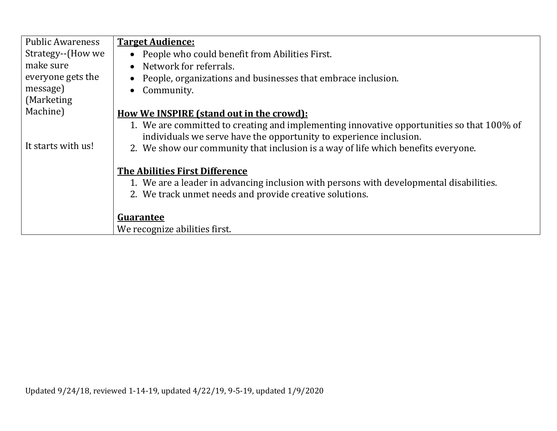| <b>Public Awareness</b> | <b>Target Audience:</b>                                                                   |
|-------------------------|-------------------------------------------------------------------------------------------|
| Strategy--(How we       | • People who could benefit from Abilities First.                                          |
| make sure               | • Network for referrals.                                                                  |
| everyone gets the       | • People, organizations and businesses that embrace inclusion.                            |
| message)                | Community.<br>$\bullet$                                                                   |
| (Marketing)             |                                                                                           |
| Machine)                | <u>How We INSPIRE (stand out in the crowd):</u>                                           |
|                         | 1. We are committed to creating and implementing innovative opportunities so that 100% of |
|                         | individuals we serve have the opportunity to experience inclusion.                        |
| It starts with us!      | 2. We show our community that inclusion is a way of life which benefits everyone.         |
|                         | <b>The Abilities First Difference</b>                                                     |
|                         | 1. We are a leader in advancing inclusion with persons with developmental disabilities.   |
|                         |                                                                                           |
|                         | 2. We track unmet needs and provide creative solutions.                                   |
|                         |                                                                                           |
|                         | Guarantee                                                                                 |
|                         | We recognize abilities first.                                                             |